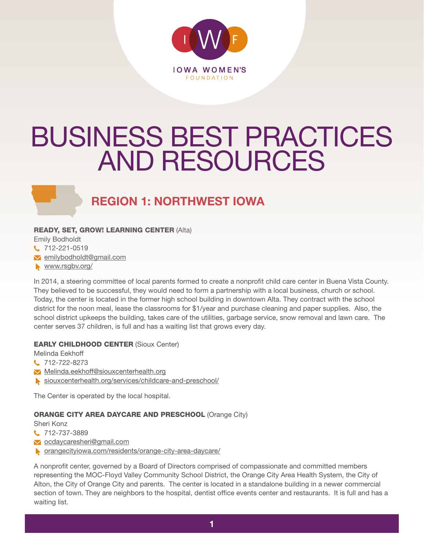

# BUSINESS BEST PRACTICES AND RESOURCES

## **REGION 1: NORTHWEST IOWA**

#### READY, SET, GROW! LEARNING CENTER (Alta)

Emily Bodholdt

12-221-0519

emilybodholdt@gmail.com

www.rsgbv.org/

In 2014, a steering committee of local parents formed to create a nonprofit child care center in Buena Vista County. They believed to be successful, they would need to form a partnership with a local business, church or school. Today, the center is located in the former high school building in downtown Alta. They contract with the school district for the noon meal, lease the classrooms for \$1/year and purchase cleaning and paper supplies. Also, the school district upkeeps the building, takes care of the utilities, garbage service, snow removal and lawn care. The center serves 37 children, is full and has a waiting list that grows every day.

#### EARLY CHILDHOOD CENTER (Sioux Center)

Melinda Eekhoff

**t.** 712-722-8273

- Melinda.eekhoff@siouxcenterhealth.org
- siouxcenterhealth.org/services/childcare-and-preschool/

The Center is operated by the local hospital.

#### **ORANGE CITY AREA DAYCARE AND PRESCHOOL (Orange City)**

Sheri Konz

- 12-737-3889
- ocdaycaresheri@gmail.com
- orangecityiowa.com/residents/orange-city-area-daycare/

A nonprofit center, governed by a Board of Directors comprised of compassionate and committed members representing the MOC-Floyd Valley Community School District, the Orange City Area Health System, the City of Alton, the City of Orange City and parents. The center is located in a standalone building in a newer commercial section of town. They are neighbors to the hospital, dentist office events center and restaurants. It is full and has a waiting list.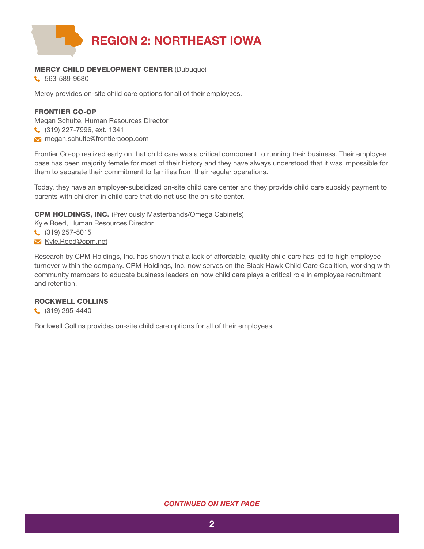

#### MERCY CHILD DEVELOPMENT CENTER (Dubuque)

C 563-589-9680

Mercy provides on-site child care options for all of their employees.

#### FRONTIER CO-OP

Megan Schulte, Human Resources Director (319) 227-7996, ext. 1341 megan.schulte@frontiercoop.com

Frontier Co-op realized early on that child care was a critical component to running their business. Their employee base has been majority female for most of their history and they have always understood that it was impossible for them to separate their commitment to families from their regular operations.

Today, they have an employer-subsidized on-site child care center and they provide child care subsidy payment to parents with children in child care that do not use the on-site center.

CPM HOLDINGS, INC. (Previously Masterbands/Omega Cabinets)

Kyle Roed, Human Resources Director

(319) 257-5015

**M** Kyle.Roed@cpm.net

Research by CPM Holdings, Inc. has shown that a lack of affordable, quality child care has led to high employee turnover within the company. CPM Holdings, Inc. now serves on the Black Hawk Child Care Coalition, working with community members to educate business leaders on how child care plays a critical role in employee recruitment and retention.

#### ROCKWELL COLLINS

C (319) 295-4440

Rockwell Collins provides on-site child care options for all of their employees.

#### *CONTINUED ON NEXT PAGE*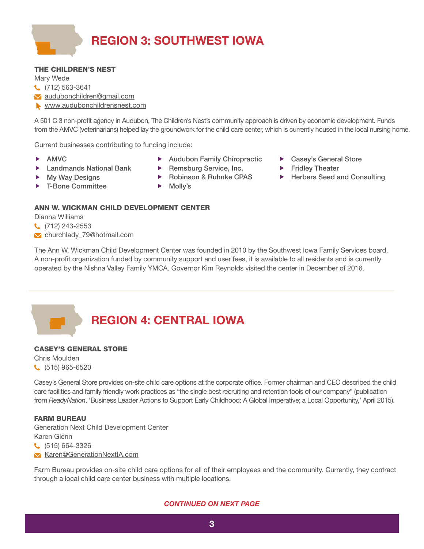

#### THE CHILDREN'S NEST

Mary Wede (712) 563-3641 audubonchildren@gmail.com www.audubonchildrensnest.com

A 501 C 3 non-profit agency in Audubon, The Children's Nest's community approach is driven by economic development. Funds from the AMVC (veterinarians) helped lay the groundwork for the child care center, which is currently housed in the local nursing home.

Current businesses contributing to funding include:

- AMVC
- Landmands National Bank
- My Way Designs
- 
- **Audubon Family Chiropractic**
- ▶ Remsburg Service, Inc.
- ▶ Robinson & Ruhnke CPAS
- Casey's General Store
- **Fridley Theater**
- ▶ Herbers Seed and Consulting
- T-Bone Committee
- ▶ Molly's

#### ANN W. WICKMAN CHILD DEVELOPMENT CENTER

Dianna Williams

C. (712) 243-2553

churchlady\_79@hotmail.com

The Ann W. Wickman Child Development Center was founded in 2010 by the Southwest Iowa Family Services board. A non-profit organization funded by community support and user fees, it is available to all residents and is currently operated by the Nishna Valley Family YMCA. Governor Kim Reynolds visited the center in December of 2016.

### **REGION 4: CENTRAL IOWA**

#### CASEY'S GENERAL STORE

Chris Moulden (515) 965-6520

Casey's General Store provides on-site child care options at the corporate office. Former chairman and CEO described the child care facilities and family friendly work practices as "the single best recruiting and retention tools of our company" (publication from *ReadyNation*, 'Business Leader Actions to Support Early Childhood: A Global Imperative; a Local Opportunity,' April 2015).

#### FARM BUREAU

Generation Next Child Development Center Karen Glenn

(515) 664-3326

**X** Karen@GenerationNextIA.com

Farm Bureau provides on-site child care options for all of their employees and the community. Currently, they contract through a local child care center business with multiple locations.

#### *CONTINUED ON NEXT PAGE*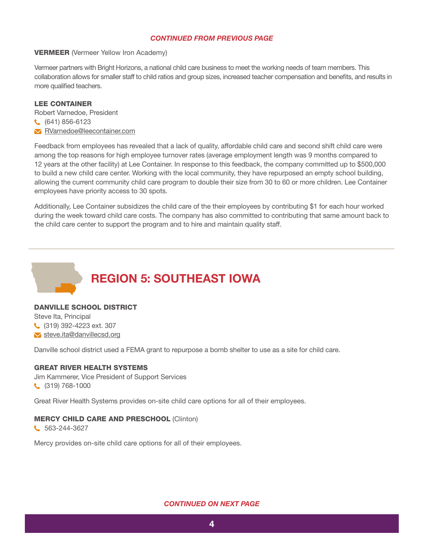#### *CONTINUED FROM PREVIOUS PAGE*

#### VERMEER (Vermeer Yellow Iron Academy)

Vermeer partners with Bright Horizons, a national child care business to meet the working needs of team members. This collaboration allows for smaller staff to child ratios and group sizes, increased teacher compensation and benefits, and results in more qualified teachers.

#### LEE CONTAINER

Robert Varnedoe, President (641) 856-6123 RVarnedoe@leecontainer.com

Feedback from employees has revealed that a lack of quality, affordable child care and second shift child care were among the top reasons for high employee turnover rates (average employment length was 9 months compared to 12 years at the other facility) at Lee Container. In response to this feedback, the company committed up to \$500,000 to build a new child care center. Working with the local community, they have repurposed an empty school building, allowing the current community child care program to double their size from 30 to 60 or more children. Lee Container employees have priority access to 30 spots.

Additionally, Lee Container subsidizes the child care of the their employees by contributing \$1 for each hour worked during the week toward child care costs. The company has also committed to contributing that same amount back to the child care center to support the program and to hire and maintain quality staff.



#### DANVILLE SCHOOL DISTRICT

Steve Ita, Principal (319) 392-4223 ext. 307 **v** steve.ita@danvillecsd.org

Danville school district used a FEMA grant to repurpose a bomb shelter to use as a site for child care.

#### GREAT RIVER HEALTH SYSTEMS

Jim Kammerer, Vice President of Support Services (319) 768-1000

Great River Health Systems provides on-site child care options for all of their employees.

#### MERCY CHILD CARE AND PRESCHOOL (Clinton)

C 563-244-3627

Mercy provides on-site child care options for all of their employees.

#### *CONTINUED ON NEXT PAGE*